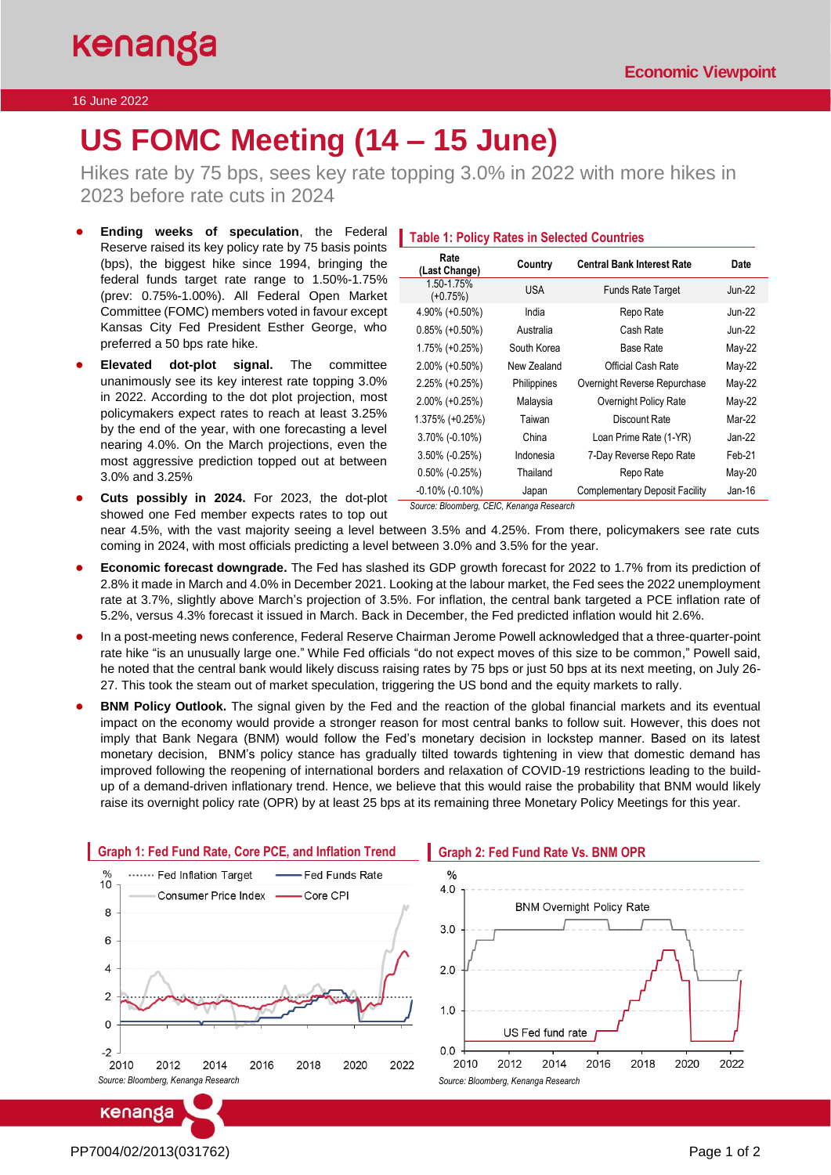#### 16 June 2022

# **US FOMC Meeting (14 – 15 June)**

Hikes rate by 75 bps, sees key rate topping 3.0% in 2022 with more hikes in 2023 before rate cuts in 2024

- **Ending weeks of speculation**, the Federal Reserve raised its key policy rate by 75 basis points (bps), the biggest hike since 1994, bringing the federal funds target rate range to 1.50%-1.75% (prev: 0.75%-1.00%). All Federal Open Market Committee (FOMC) members voted in favour except Kansas City Fed President Esther George, who preferred a 50 bps rate hike.
- **Elevated dot-plot signal.** The committee unanimously see its key interest rate topping 3.0% in 2022. According to the dot plot projection, most policymakers expect rates to reach at least 3.25% by the end of the year, with one forecasting a level nearing 4.0%. On the March projections, even the most aggressive prediction topped out at between 3.0% and 3.25%

Cuts possibly in 2024. For 2023, the dot-plot showed one Fed member expects rates to top out

| <b>TUDIO 1.1 VIIVY RULOS III OCIOCICU ODUIRIICS</b>           |                 |                                       |               |  |  |
|---------------------------------------------------------------|-----------------|---------------------------------------|---------------|--|--|
| Rate<br>(Last Change)                                         | Country         | <b>Central Bank Interest Rate</b>     | Date          |  |  |
| 1.50-1.75%<br>$(+0.75%)$                                      | <b>USA</b>      | <b>Funds Rate Target</b>              | Jun-22        |  |  |
| 4.90% (+0.50%)                                                | India           | Repo Rate                             | <b>Jun-22</b> |  |  |
| $0.85\%$ (+0.50%)                                             | Australia       | Cash Rate                             | <b>Jun-22</b> |  |  |
| 1.75% (+0.25%)                                                | South Korea     | <b>Base Rate</b>                      | May-22        |  |  |
| $2.00\%$ (+0.50%)                                             | New Zealand     | Official Cash Rate                    | May-22        |  |  |
| 2.25% (+0.25%)                                                | Philippines     | Overnight Reverse Repurchase          | May-22        |  |  |
| $2.00\%$ (+0.25%)                                             | Malaysia        | Overnight Policy Rate                 | May-22        |  |  |
| 1.375% (+0.25%)                                               | Taiwan          | Discount Rate                         | Mar-22        |  |  |
| 3.70% (-0.10%)                                                | China           | Loan Prime Rate (1-YR)                | Jan-22        |  |  |
| $3.50\%$ (-0.25%)                                             | Indonesia       | 7-Day Reverse Repo Rate               | Feb-21        |  |  |
| $0.50\%$ (-0.25%)                                             | Thailand        | Repo Rate                             | May-20        |  |  |
| $-0.10\%$ ( $-0.10\%$ )<br>$\sim$ $\sim$ $\sim$ $\sim$ $\sim$ | Japan<br>$\sim$ | <b>Complementary Deposit Facility</b> | Jan-16        |  |  |

**Table 1: Policy Rates in Selected Countries**

*Source: Bloomberg, CEIC, Kenanga Research*

near 4.5%, with the vast majority seeing a level between 3.5% and 4.25%. From there, policymakers see rate cuts coming in 2024, with most officials predicting a level between 3.0% and 3.5% for the year.

- **Economic forecast downgrade.** The Fed has slashed its GDP growth forecast for 2022 to 1.7% from its prediction of 2.8% it made in March and 4.0% in December 2021. Looking at the labour market, the Fed sees the 2022 unemployment rate at 3.7%, slightly above March's projection of 3.5%. For inflation, the central bank targeted a PCE inflation rate of 5.2%, versus 4.3% forecast it issued in March. Back in December, the Fed predicted inflation would hit 2.6%.
- In a post-meeting news conference, Federal Reserve Chairman Jerome Powell acknowledged that a three-quarter-point rate hike "is an unusually large one." While Fed officials "do not expect moves of this size to be common," Powell said, he noted that the central bank would likely discuss raising rates by 75 bps or just 50 bps at its next meeting, on July 26- 27. This took the steam out of market speculation, triggering the US bond and the equity markets to rally.
- **BNM Policy Outlook.** The signal given by the Fed and the reaction of the global financial markets and its eventual impact on the economy would provide a stronger reason for most central banks to follow suit. However, this does not imply that Bank Negara (BNM) would follow the Fed's monetary decision in lockstep manner. Based on its latest monetary decision, BNM's policy stance has gradually tilted towards tightening in view that domestic demand has improved following the reopening of international borders and relaxation of COVID-19 restrictions leading to the buildup of a demand-driven inflationary trend. Hence, we believe that this would raise the probability that BNM would likely raise its overnight policy rate (OPR) by at least 25 bps at its remaining three Monetary Policy Meetings for this year.



#### **Graph 2: Fed Fund Rate Vs. BNM OPR**



PP7004/02/2013(031762) Page 1 of 2